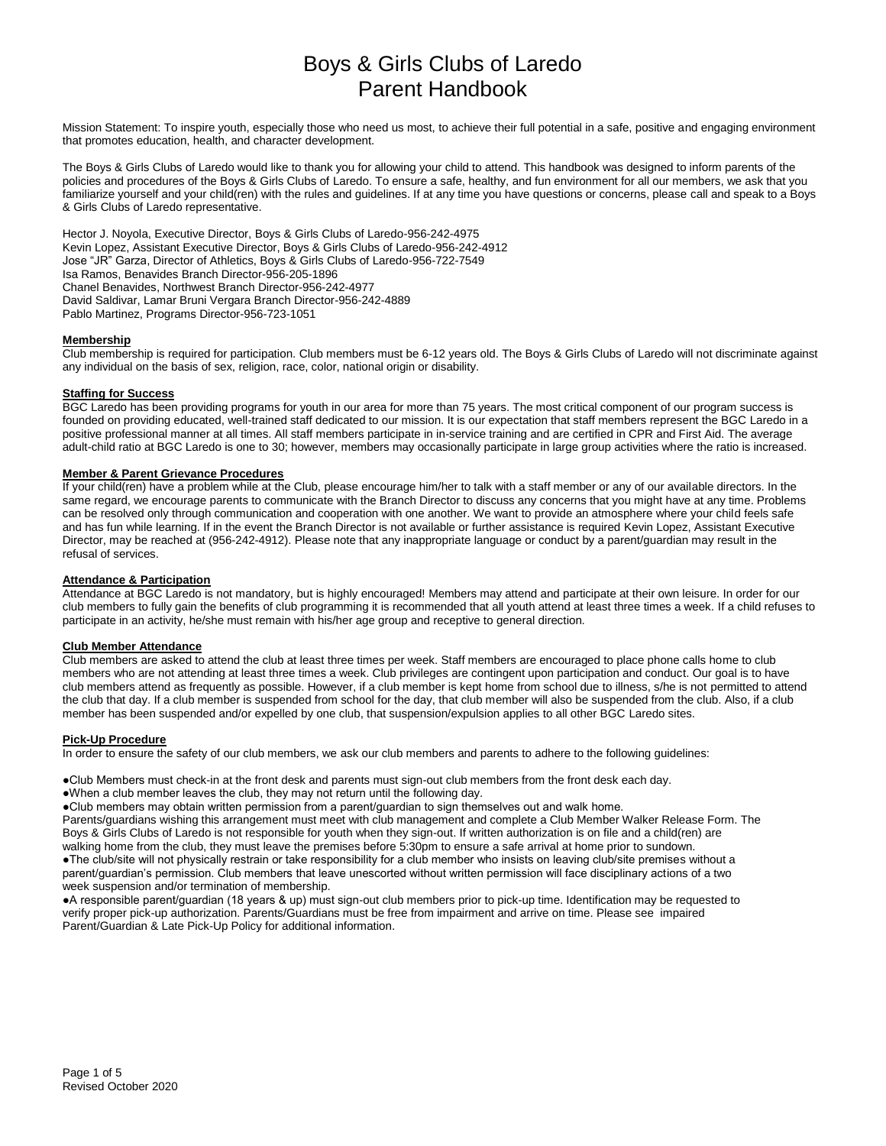Mission Statement: To inspire youth, especially those who need us most, to achieve their full potential in a safe, positive and engaging environment that promotes education, health, and character development.

The Boys & Girls Clubs of Laredo would like to thank you for allowing your child to attend. This handbook was designed to inform parents of the policies and procedures of the Boys & Girls Clubs of Laredo. To ensure a safe, healthy, and fun environment for all our members, we ask that you familiarize yourself and your child(ren) with the rules and guidelines. If at any time you have questions or concerns, please call and speak to a Boys & Girls Clubs of Laredo representative.

Hector J. Noyola, Executive Director, Boys & Girls Clubs of Laredo-956-242-4975 Kevin Lopez, Assistant Executive Director, Boys & Girls Clubs of Laredo-956-242-4912 Jose "JR" Garza, Director of Athletics, Boys & Girls Clubs of Laredo-956-722-7549 Isa Ramos, Benavides Branch Director-956-205-1896 Chanel Benavides, Northwest Branch Director-956-242-4977 David Saldivar, Lamar Bruni Vergara Branch Director-956-242-4889 Pablo Martinez, Programs Director-956-723-1051

# **Membership**

Club membership is required for participation. Club members must be 6-12 years old. The Boys & Girls Clubs of Laredo will not discriminate against any individual on the basis of sex, religion, race, color, national origin or disability.

#### **Staffing for Success**

BGC Laredo has been providing programs for youth in our area for more than 75 years. The most critical component of our program success is founded on providing educated, well-trained staff dedicated to our mission. It is our expectation that staff members represent the BGC Laredo in a positive professional manner at all times. All staff members participate in in-service training and are certified in CPR and First Aid. The average adult-child ratio at BGC Laredo is one to 30; however, members may occasionally participate in large group activities where the ratio is increased.

## **Member & Parent Grievance Procedures**

If your child(ren) have a problem while at the Club, please encourage him/her to talk with a staff member or any of our available directors. In the same regard, we encourage parents to communicate with the Branch Director to discuss any concerns that you might have at any time. Problems can be resolved only through communication and cooperation with one another. We want to provide an atmosphere where your child feels safe and has fun while learning. If in the event the Branch Director is not available or further assistance is required Kevin Lopez, Assistant Executive Director, may be reached at (956-242-4912). Please note that any inappropriate language or conduct by a parent/guardian may result in the refusal of services.

### **Attendance & Participation**

Attendance at BGC Laredo is not mandatory, but is highly encouraged! Members may attend and participate at their own leisure. In order for our club members to fully gain the benefits of club programming it is recommended that all youth attend at least three times a week. If a child refuses to participate in an activity, he/she must remain with his/her age group and receptive to general direction.

# **Club Member Attendance**

Club members are asked to attend the club at least three times per week. Staff members are encouraged to place phone calls home to club members who are not attending at least three times a week. Club privileges are contingent upon participation and conduct. Our goal is to have club members attend as frequently as possible. However, if a club member is kept home from school due to illness, s/he is not permitted to attend the club that day. If a club member is suspended from school for the day, that club member will also be suspended from the club. Also, if a club member has been suspended and/or expelled by one club, that suspension/expulsion applies to all other BGC Laredo sites.

#### **Pick-Up Procedure**

In order to ensure the safety of our club members, we ask our club members and parents to adhere to the following guidelines:

●Club Members must check-in at the front desk and parents must sign-out club members from the front desk each day.

●When a club member leaves the club, they may not return until the following day.

●Club members may obtain written permission from a parent/guardian to sign themselves out and walk home.

Parents/guardians wishing this arrangement must meet with club management and complete a Club Member Walker Release Form. The Boys & Girls Clubs of Laredo is not responsible for youth when they sign-out. If written authorization is on file and a child(ren) are walking home from the club, they must leave the premises before 5:30pm to ensure a safe arrival at home prior to sundown. ●The club/site will not physically restrain or take responsibility for a club member who insists on leaving club/site premises without a parent/guardian's permission. Club members that leave unescorted without written permission will face disciplinary actions of a two week suspension and/or termination of membership.

●A responsible parent/guardian (18 years & up) must sign-out club members prior to pick-up time. Identification may be requested to verify proper pick-up authorization. Parents/Guardians must be free from impairment and arrive on time. Please see impaired Parent/Guardian & Late Pick-Up Policy for additional information.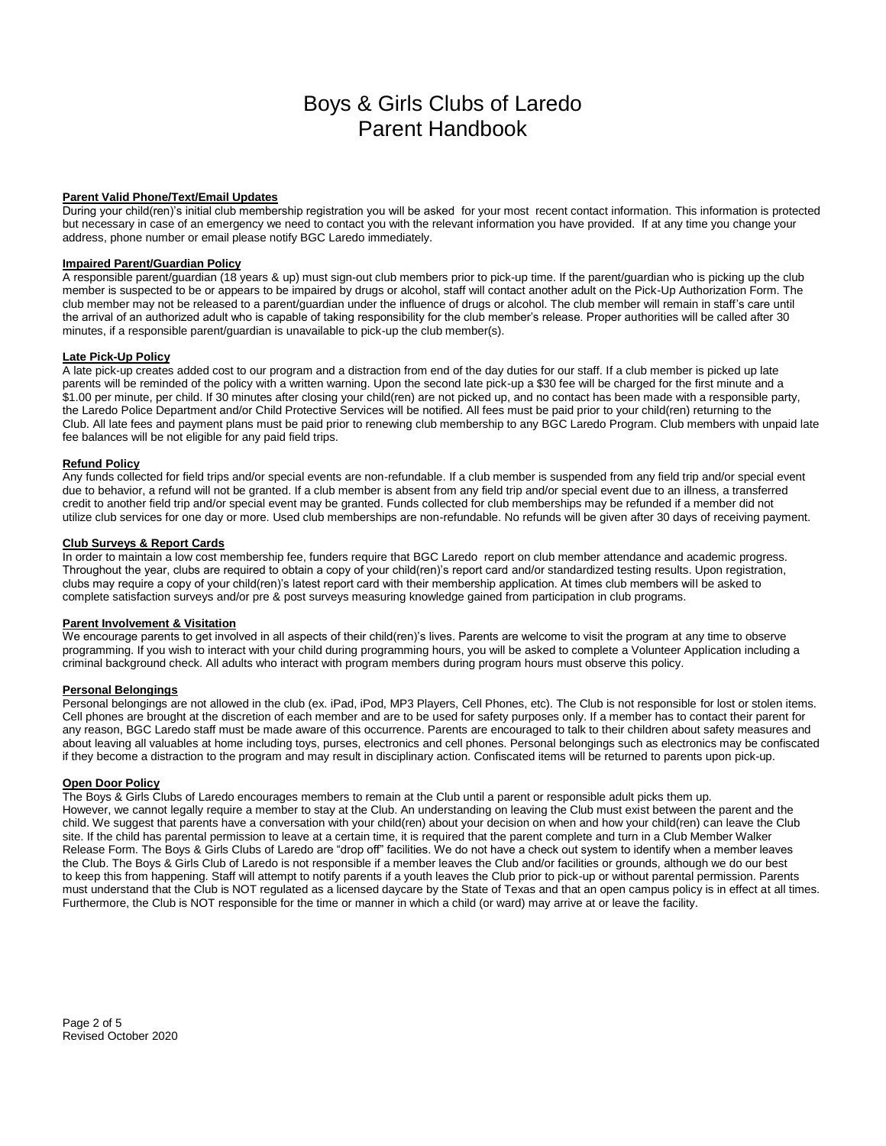# **Parent Valid Phone/Text/Email Updates**

During your child(ren)'s initial club membership registration you will be asked for your most recent contact information. This information is protected but necessary in case of an emergency we need to contact you with the relevant information you have provided. If at any time you change your address, phone number or email please notify BGC Laredo immediately.

# **Impaired Parent/Guardian Policy**

A responsible parent/guardian (18 years & up) must sign-out club members prior to pick-up time. If the parent/guardian who is picking up the club member is suspected to be or appears to be impaired by drugs or alcohol, staff will contact another adult on the Pick-Up Authorization Form. The club member may not be released to a parent/guardian under the influence of drugs or alcohol. The club member will remain in staff's care until the arrival of an authorized adult who is capable of taking responsibility for the club member's release. Proper authorities will be called after 30 minutes, if a responsible parent/guardian is unavailable to pick-up the club member(s).

### **Late Pick-Up Policy**

A late pick-up creates added cost to our program and a distraction from end of the day duties for our staff. If a club member is picked up late parents will be reminded of the policy with a written warning. Upon the second late pick-up a \$30 fee will be charged for the first minute and a \$1.00 per minute, per child. If 30 minutes after closing your child(ren) are not picked up, and no contact has been made with a responsible party, the Laredo Police Department and/or Child Protective Services will be notified. All fees must be paid prior to your child(ren) returning to the Club. All late fees and payment plans must be paid prior to renewing club membership to any BGC Laredo Program. Club members with unpaid late fee balances will be not eligible for any paid field trips.

#### **Refund Policy**

Any funds collected for field trips and/or special events are non-refundable. If a club member is suspended from any field trip and/or special event due to behavior, a refund will not be granted. If a club member is absent from any field trip and/or special event due to an illness, a transferred credit to another field trip and/or special event may be granted. Funds collected for club memberships may be refunded if a member did not utilize club services for one day or more. Used club memberships are non-refundable. No refunds will be given after 30 days of receiving payment.

#### **Club Surveys & Report Cards**

In order to maintain a low cost membership fee, funders require that BGC Laredo report on club member attendance and academic progress. Throughout the year, clubs are required to obtain a copy of your child(ren)'s report card and/or standardized testing results. Upon registration, clubs may require a copy of your child(ren)'s latest report card with their membership application. At times club members will be asked to complete satisfaction surveys and/or pre & post surveys measuring knowledge gained from participation in club programs.

#### **Parent Involvement & Visitation**

We encourage parents to get involved in all aspects of their child(ren)'s lives. Parents are welcome to visit the program at any time to observe programming. If you wish to interact with your child during programming hours, you will be asked to complete a Volunteer Application including a criminal background check. All adults who interact with program members during program hours must observe this policy.

# **Personal Belongings**

Personal belongings are not allowed in the club (ex. iPad, iPod, MP3 Players, Cell Phones, etc). The Club is not responsible for lost or stolen items. Cell phones are brought at the discretion of each member and are to be used for safety purposes only. If a member has to contact their parent for any reason, BGC Laredo staff must be made aware of this occurrence. Parents are encouraged to talk to their children about safety measures and about leaving all valuables at home including toys, purses, electronics and cell phones. Personal belongings such as electronics may be confiscated if they become a distraction to the program and may result in disciplinary action. Confiscated items will be returned to parents upon pick-up.

### **Open Door Policy**

The Boys & Girls Clubs of Laredo encourages members to remain at the Club until a parent or responsible adult picks them up. However, we cannot legally require a member to stay at the Club. An understanding on leaving the Club must exist between the parent and the child. We suggest that parents have a conversation with your child(ren) about your decision on when and how your child(ren) can leave the Club site. If the child has parental permission to leave at a certain time, it is required that the parent complete and turn in a Club Member Walker Release Form. The Boys & Girls Clubs of Laredo are "drop off" facilities. We do not have a check out system to identify when a member leaves the Club. The Boys & Girls Club of Laredo is not responsible if a member leaves the Club and/or facilities or grounds, although we do our best to keep this from happening. Staff will attempt to notify parents if a youth leaves the Club prior to pick-up or without parental permission. Parents must understand that the Club is NOT regulated as a licensed daycare by the State of Texas and that an open campus policy is in effect at all times. Furthermore, the Club is NOT responsible for the time or manner in which a child (or ward) may arrive at or leave the facility.

Page 2 of 5 Revised October 2020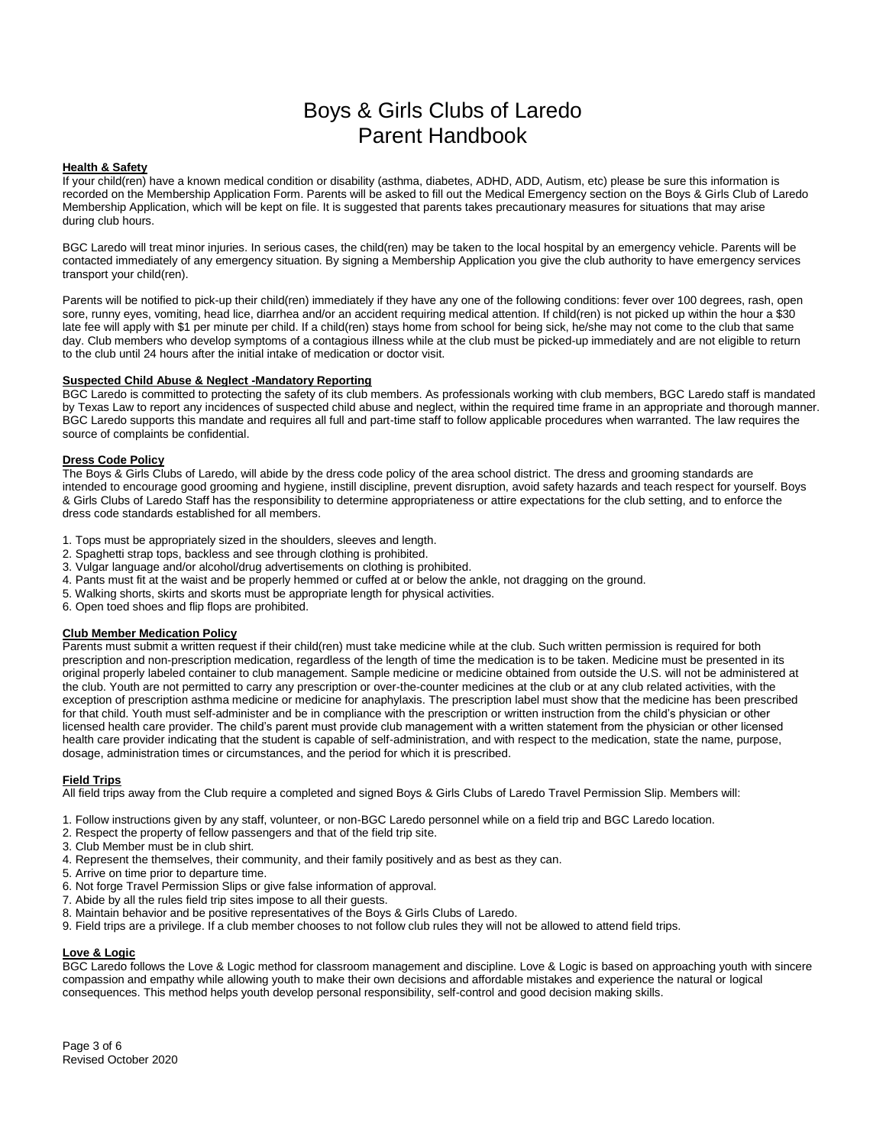## **Health & Safety**

If your child(ren) have a known medical condition or disability (asthma, diabetes, ADHD, ADD, Autism, etc) please be sure this information is recorded on the Membership Application Form. Parents will be asked to fill out the Medical Emergency section on the Boys & Girls Club of Laredo Membership Application, which will be kept on file. It is suggested that parents takes precautionary measures for situations that may arise during club hours.

BGC Laredo will treat minor injuries. In serious cases, the child(ren) may be taken to the local hospital by an emergency vehicle. Parents will be contacted immediately of any emergency situation. By signing a Membership Application you give the club authority to have emergency services transport your child(ren).

Parents will be notified to pick-up their child(ren) immediately if they have any one of the following conditions: fever over 100 degrees, rash, open sore, runny eyes, vomiting, head lice, diarrhea and/or an accident requiring medical attention. If child(ren) is not picked up within the hour a \$30 late fee will apply with \$1 per minute per child. If a child(ren) stays home from school for being sick, he/she may not come to the club that same day. Club members who develop symptoms of a contagious illness while at the club must be picked-up immediately and are not eligible to return to the club until 24 hours after the initial intake of medication or doctor visit.

## **Suspected Child Abuse & Neglect -Mandatory Reporting**

BGC Laredo is committed to protecting the safety of its club members. As professionals working with club members, BGC Laredo staff is mandated by Texas Law to report any incidences of suspected child abuse and neglect, within the required time frame in an appropriate and thorough manner. BGC Laredo supports this mandate and requires all full and part-time staff to follow applicable procedures when warranted. The law requires the source of complaints be confidential.

### **Dress Code Policy**

The Boys & Girls Clubs of Laredo, will abide by the dress code policy of the area school district. The dress and grooming standards are intended to encourage good grooming and hygiene, instill discipline, prevent disruption, avoid safety hazards and teach respect for yourself. Boys & Girls Clubs of Laredo Staff has the responsibility to determine appropriateness or attire expectations for the club setting, and to enforce the dress code standards established for all members.

- 1. Tops must be appropriately sized in the shoulders, sleeves and length.
- 2. Spaghetti strap tops, backless and see through clothing is prohibited.
- 3. Vulgar language and/or alcohol/drug advertisements on clothing is prohibited.
- 4. Pants must fit at the waist and be properly hemmed or cuffed at or below the ankle, not dragging on the ground.
- 5. Walking shorts, skirts and skorts must be appropriate length for physical activities.
- 6. Open toed shoes and flip flops are prohibited.

# **Club Member Medication Policy**

Parents must submit a written request if their child(ren) must take medicine while at the club. Such written permission is required for both prescription and non-prescription medication, regardless of the length of time the medication is to be taken. Medicine must be presented in its original properly labeled container to club management. Sample medicine or medicine obtained from outside the U.S. will not be administered at the club. Youth are not permitted to carry any prescription or over-the-counter medicines at the club or at any club related activities, with the exception of prescription asthma medicine or medicine for anaphylaxis. The prescription label must show that the medicine has been prescribed for that child. Youth must self-administer and be in compliance with the prescription or written instruction from the child's physician or other licensed health care provider. The child's parent must provide club management with a written statement from the physician or other licensed health care provider indicating that the student is capable of self-administration, and with respect to the medication, state the name, purpose, dosage, administration times or circumstances, and the period for which it is prescribed.

# **Field Trips**

All field trips away from the Club require a completed and signed Boys & Girls Clubs of Laredo Travel Permission Slip. Members will:

- 1. Follow instructions given by any staff, volunteer, or non-BGC Laredo personnel while on a field trip and BGC Laredo location.
- 2. Respect the property of fellow passengers and that of the field trip site.
- 3. Club Member must be in club shirt.
- 4. Represent the themselves, their community, and their family positively and as best as they can.
- 5. Arrive on time prior to departure time.
- 6. Not forge Travel Permission Slips or give false information of approval.
- 7. Abide by all the rules field trip sites impose to all their guests.
- 8. Maintain behavior and be positive representatives of the Boys & Girls Clubs of Laredo.
- 9. Field trips are a privilege. If a club member chooses to not follow club rules they will not be allowed to attend field trips.

# **Love & Logic**

BGC Laredo follows the Love & Logic method for classroom management and discipline. Love & Logic is based on approaching youth with sincere compassion and empathy while allowing youth to make their own decisions and affordable mistakes and experience the natural or logical consequences. This method helps youth develop personal responsibility, self-control and good decision making skills.

Page 3 of 6 Revised October 2020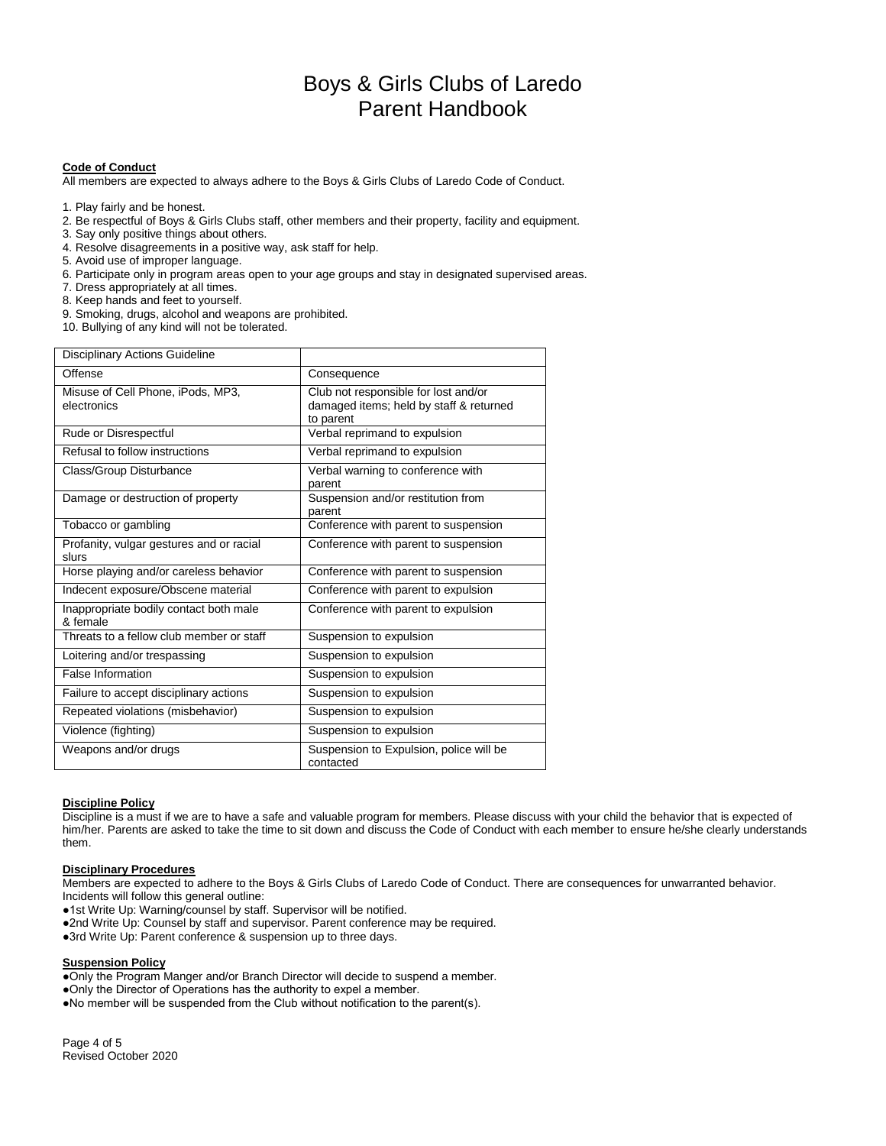# **Code of Conduct**

All members are expected to always adhere to the Boys & Girls Clubs of Laredo Code of Conduct.

- 1. Play fairly and be honest.
- 2. Be respectful of Boys & Girls Clubs staff, other members and their property, facility and equipment.
- 3. Say only positive things about others.
- 4. Resolve disagreements in a positive way, ask staff for help.
- 5. Avoid use of improper language.
- 6. Participate only in program areas open to your age groups and stay in designated supervised areas.
- 7. Dress appropriately at all times.
- 8. Keep hands and feet to yourself.
- 9. Smoking, drugs, alcohol and weapons are prohibited.
- 10. Bullying of any kind will not be tolerated.

| <b>Disciplinary Actions Guideline</b>              |                                                                                              |
|----------------------------------------------------|----------------------------------------------------------------------------------------------|
| Offense                                            | Consequence                                                                                  |
| Misuse of Cell Phone, iPods, MP3,<br>electronics   | Club not responsible for lost and/or<br>damaged items; held by staff & returned<br>to parent |
| Rude or Disrespectful                              | Verbal reprimand to expulsion                                                                |
| Refusal to follow instructions                     | Verbal reprimand to expulsion                                                                |
| Class/Group Disturbance                            | Verbal warning to conference with<br>parent                                                  |
| Damage or destruction of property                  | Suspension and/or restitution from<br>parent                                                 |
| Tobacco or gambling                                | Conference with parent to suspension                                                         |
| Profanity, vulgar gestures and or racial<br>slurs  | Conference with parent to suspension                                                         |
| Horse playing and/or careless behavior             | Conference with parent to suspension                                                         |
| Indecent exposure/Obscene material                 | Conference with parent to expulsion                                                          |
| Inappropriate bodily contact both male<br>& female | Conference with parent to expulsion                                                          |
| Threats to a fellow club member or staff           | Suspension to expulsion                                                                      |
| Loitering and/or trespassing                       | Suspension to expulsion                                                                      |
| <b>False Information</b>                           | Suspension to expulsion                                                                      |
| Failure to accept disciplinary actions             | Suspension to expulsion                                                                      |
| Repeated violations (misbehavior)                  | Suspension to expulsion                                                                      |
| Violence (fighting)                                | Suspension to expulsion                                                                      |
| Weapons and/or drugs                               | Suspension to Expulsion, police will be<br>contacted                                         |

# **Discipline Policy**

Discipline is a must if we are to have a safe and valuable program for members. Please discuss with your child the behavior that is expected of him/her. Parents are asked to take the time to sit down and discuss the Code of Conduct with each member to ensure he/she clearly understands them.

#### **Disciplinary Procedures**

Members are expected to adhere to the Boys & Girls Clubs of Laredo Code of Conduct. There are consequences for unwarranted behavior. Incidents will follow this general outline:

- ●1st Write Up: Warning/counsel by staff. Supervisor will be notified.
- ●2nd Write Up: Counsel by staff and supervisor. Parent conference may be required.
- ●3rd Write Up: Parent conference & suspension up to three days.

### **Suspension Policy**

●Only the Program Manger and/or Branch Director will decide to suspend a member. ●Only the Director of Operations has the authority to expel a member. ●No member will be suspended from the Club without notification to the parent(s).

Page 4 of 5 Revised October 2020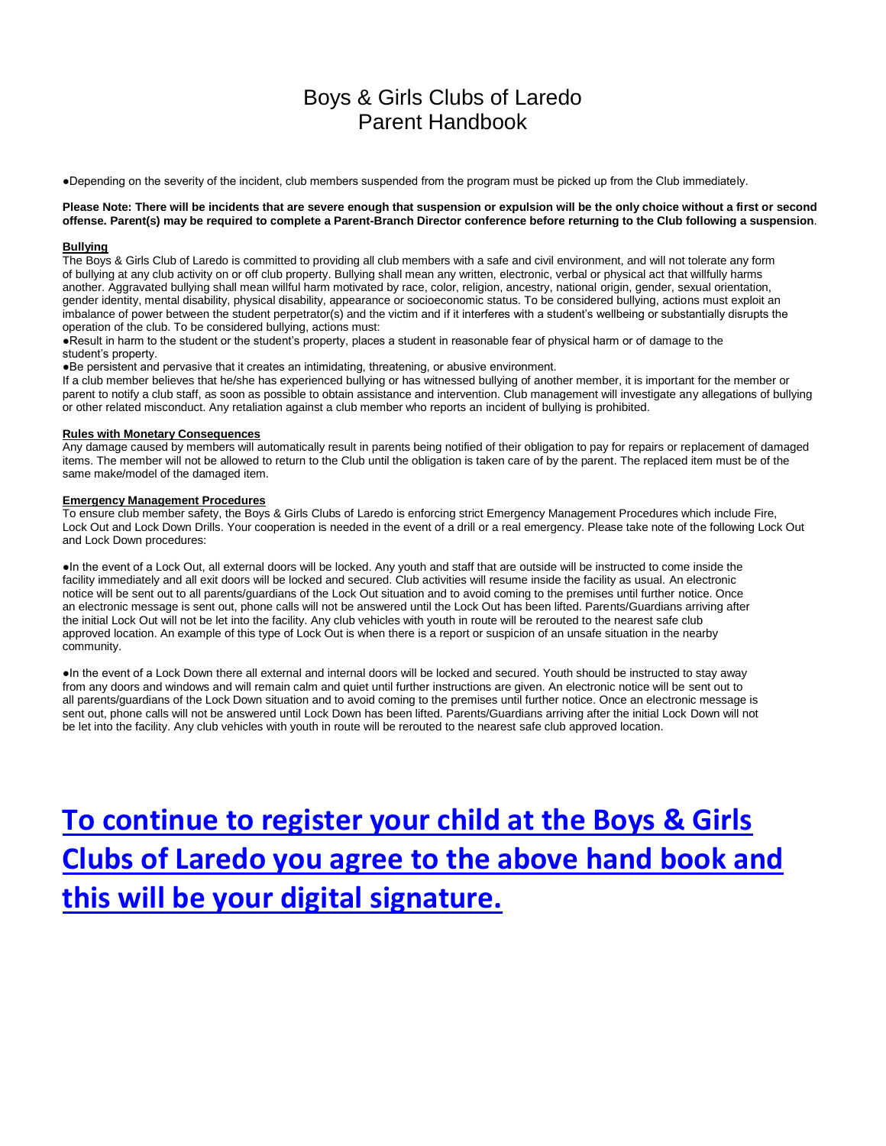●Depending on the severity of the incident, club members suspended from the program must be picked up from the Club immediately.

### **Please Note: There will be incidents that are severe enough that suspension or expulsion will be the only choice without a first or second offense. Parent(s) may be required to complete a Parent-Branch Director conference before returning to the Club following a suspension**.

#### **Bullying**

The Boys & Girls Club of Laredo is committed to providing all club members with a safe and civil environment, and will not tolerate any form of bullying at any club activity on or off club property. Bullying shall mean any written, electronic, verbal or physical act that willfully harms another. Aggravated bullying shall mean willful harm motivated by race, color, religion, ancestry, national origin, gender, sexual orientation, gender identity, mental disability, physical disability, appearance or socioeconomic status. To be considered bullying, actions must exploit an imbalance of power between the student perpetrator(s) and the victim and if it interferes with a student's wellbeing or substantially disrupts the operation of the club. To be considered bullying, actions must:

●Result in harm to the student or the student's property, places a student in reasonable fear of physical harm or of damage to the student's property.

●Be persistent and pervasive that it creates an intimidating, threatening, or abusive environment.

If a club member believes that he/she has experienced bullying or has witnessed bullying of another member, it is important for the member or parent to notify a club staff, as soon as possible to obtain assistance and intervention. Club management will investigate any allegations of bullying or other related misconduct. Any retaliation against a club member who reports an incident of bullying is prohibited.

#### **Rules with Monetary Consequences**

Any damage caused by members will automatically result in parents being notified of their obligation to pay for repairs or replacement of damaged items. The member will not be allowed to return to the Club until the obligation is taken care of by the parent. The replaced item must be of the same make/model of the damaged item.

#### **Emergency Management Procedures**

To ensure club member safety, the Boys & Girls Clubs of Laredo is enforcing strict Emergency Management Procedures which include Fire, Lock Out and Lock Down Drills. Your cooperation is needed in the event of a drill or a real emergency. Please take note of the following Lock Out and Lock Down procedures:

●In the event of a Lock Out, all external doors will be locked. Any youth and staff that are outside will be instructed to come inside the facility immediately and all exit doors will be locked and secured. Club activities will resume inside the facility as usual. An electronic notice will be sent out to all parents/guardians of the Lock Out situation and to avoid coming to the premises until further notice. Once an electronic message is sent out, phone calls will not be answered until the Lock Out has been lifted. Parents/Guardians arriving after the initial Lock Out will not be let into the facility. Any club vehicles with youth in route will be rerouted to the nearest safe club approved location. An example of this type of Lock Out is when there is a report or suspicion of an unsafe situation in the nearby community.

●In the event of a Lock Down there all external and internal doors will be locked and secured. Youth should be instructed to stay away from any doors and windows and will remain calm and quiet until further instructions are given. An electronic notice will be sent out to all parents/guardians of the Lock Down situation and to avoid coming to the premises until further notice. Once an electronic message is sent out, phone calls will not be answered until Lock Down has been lifted. Parents/Guardians arriving after the initial Lock Down will not be let into the facility. Any club vehicles with youth in route will be rerouted to the nearest safe club approved location.

**[To continue to register your child at the Boys & Girls](https://www.visioncps.net/form/WRForm.asp?OrgUnit=1900/1)  [Clubs of Laredo you agree to the above hand book and](https://www.visioncps.net/form/WRForm.asp?OrgUnit=1900/1)  [this will be your digital signature.](https://www.visioncps.net/form/WRForm.asp?OrgUnit=1900/1)**